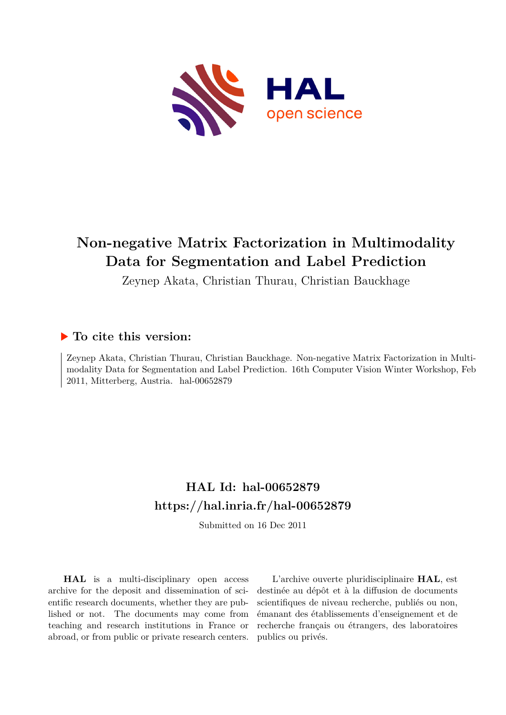<span id="page-0-0"></span>

# **Non-negative Matrix Factorization in Multimodality Data for Segmentation and Label Prediction**

Zeynep Akata, Christian Thurau, Christian Bauckhage

## **To cite this version:**

Zeynep Akata, Christian Thurau, Christian Bauckhage. Non-negative Matrix Factorization in Multimodality Data for Segmentation and Label Prediction. 16th Computer Vision Winter Workshop, Feb 2011, Mitterberg, Austria. hal-00652879

# **HAL Id: hal-00652879 <https://hal.inria.fr/hal-00652879>**

Submitted on 16 Dec 2011

**HAL** is a multi-disciplinary open access archive for the deposit and dissemination of scientific research documents, whether they are published or not. The documents may come from teaching and research institutions in France or abroad, or from public or private research centers.

L'archive ouverte pluridisciplinaire **HAL**, est destinée au dépôt et à la diffusion de documents scientifiques de niveau recherche, publiés ou non, émanant des établissements d'enseignement et de recherche français ou étrangers, des laboratoires publics ou privés.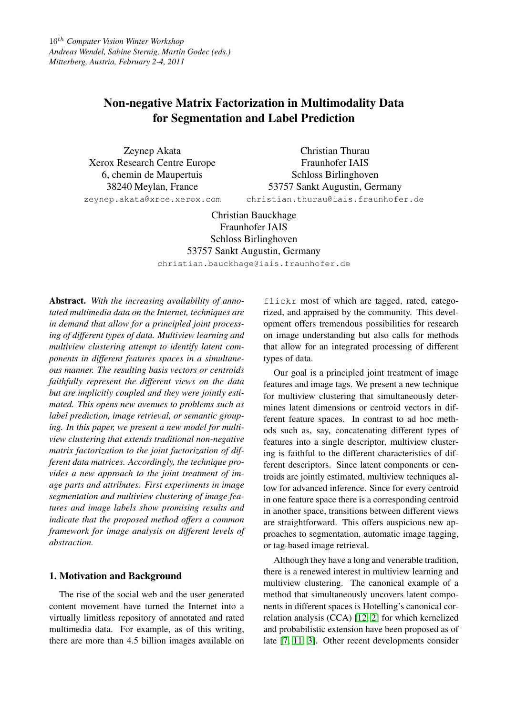## Non-negative Matrix Factorization in Multimodality Data for Segmentation and Label Prediction

Zeynep Akata Xerox Research Centre Europe 6, chemin de Maupertuis 38240 Meylan, France

Christian Thurau Fraunhofer IAIS Schloss Birlinghoven 53757 Sankt Augustin, Germany christian.thurau@iais.fraunhofer.de

zeynep.akata@xrce.xerox.com

Christian Bauckhage Fraunhofer IAIS Schloss Birlinghoven 53757 Sankt Augustin, Germany

christian.bauckhage@iais.fraunhofer.de

Abstract. *With the increasing availability of annotated multimedia data on the Internet, techniques are in demand that allow for a principled joint processing of different types of data. Multiview learning and multiview clustering attempt to identify latent components in different features spaces in a simultaneous manner. The resulting basis vectors or centroids faithfully represent the different views on the data but are implicitly coupled and they were jointly estimated. This opens new avenues to problems such as label prediction, image retrieval, or semantic grouping. In this paper, we present a new model for multiview clustering that extends traditional non-negative matrix factorization to the joint factorization of different data matrices. Accordingly, the technique provides a new approach to the joint treatment of image parts and attributes. First experiments in image segmentation and multiview clustering of image features and image labels show promising results and indicate that the proposed method offers a common framework for image analysis on different levels of abstraction.*

## 1. Motivation and Background

The rise of the social web and the user generated content movement have turned the Internet into a virtually limitless repository of annotated and rated multimedia data. For example, as of this writing, there are more than 4.5 billion images available on flickr most of which are tagged, rated, categorized, and appraised by the community. This development offers tremendous possibilities for research on image understanding but also calls for methods that allow for an integrated processing of different types of data.

Our goal is a principled joint treatment of image features and image tags. We present a new technique for multiview clustering that simultaneously determines latent dimensions or centroid vectors in different feature spaces. In contrast to ad hoc methods such as, say, concatenating different types of features into a single descriptor, multiview clustering is faithful to the different characteristics of different descriptors. Since latent components or centroids are jointly estimated, multiview techniques allow for advanced inference. Since for every centroid in one feature space there is a corresponding centroid in another space, transitions between different views are straightforward. This offers auspicious new approaches to segmentation, automatic image tagging, or tag-based image retrieval.

Although they have a long and venerable tradition, there is a renewed interest in multiview learning and multiview clustering. The canonical example of a method that simultaneously uncovers latent components in different spaces is Hotelling's canonical correlation analysis (CCA) [12, 2] for which kernelized and probabilistic extension have been proposed as of late [7, 11, 3]. Other recent developments consider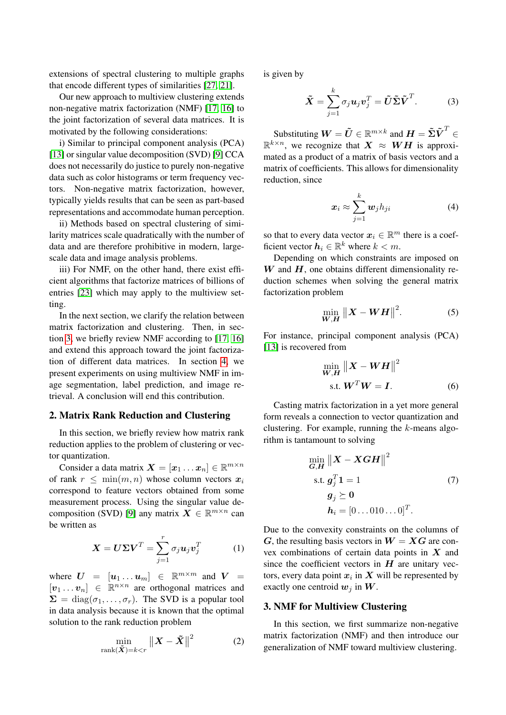extensions of spectral clustering to multiple graphs that encode different types of similarities [27, 21].

Our new approach to multiview clustering extends non-negative matrix factorization (NMF) [17, 16] to the joint factorization of several data matrices. It is motivated by the following considerations:

i) Similar to principal component analysis (PCA) [13] or singular value decomposition (SVD) [9] CCA does not necessarily do justice to purely non-negative data such as color histograms or term frequency vectors. Non-negative matrix factorization, however, typically yields results that can be seen as part-based representations and accommodate human perception.

ii) Methods based on spectral clustering of similarity matrices scale quadratically with the number of data and are therefore prohibitive in modern, largescale data and image analysis problems.

iii) For NMF, on the other hand, there exist efficient algorithms that factorize matrices of billions of entries [23] which may apply to the multiview setting.

In the next section, we clarify the relation between matrix factorization and clustering. Then, in section 3, we briefly review NMF according to [17, 16] and extend this approach toward the joint factorization of different data matrices. In section 4, we present experiments on using multiview NMF in image segmentation, label prediction, and image retrieval. A conclusion will end this contribution.

### 2. Matrix Rank Reduction and Clustering

In this section, we briefly review how matrix rank reduction applies to the problem of clustering or vector quantization.

Consider a data matrix  $\mathbf{X} = [\mathbf{x}_1 \dots \mathbf{x}_n] \in \mathbb{R}^{m \times n}$ of rank  $r \leq \min(m, n)$  whose column vectors  $x_i$ correspond to feature vectors obtained from some measurement process. Using the singular value decomposition (SVD) [9] any matrix  $\mathbf{X} \in \mathbb{R}^{m \times n}$  can be written as

$$
\mathbf{X} = \mathbf{U} \boldsymbol{\Sigma} \mathbf{V}^T = \sum_{j=1}^r \sigma_j \boldsymbol{u}_j \boldsymbol{v}_j^T
$$
 (1)

where  $U = [u_1 \dots u_m] \in \mathbb{R}^{m \times m}$  and  $V =$  $[v_1 \dots v_n] \in \mathbb{R}^{n \times n}$  are orthogonal matrices and  $\Sigma = \text{diag}(\sigma_1, \ldots, \sigma_r)$ . The SVD is a popular tool in data analysis because it is known that the optimal solution to the rank reduction problem

$$
\min_{\text{rank}(\tilde{\mathbf{X}})=k
$$

is given by

$$
\tilde{\mathbf{X}} = \sum_{j=1}^{k} \sigma_j \mathbf{u}_j \mathbf{v}_j^T = \tilde{\mathbf{U}} \tilde{\mathbf{\Sigma}} \tilde{\mathbf{V}}^T.
$$
 (3)

Substituting  $\boldsymbol{W} = \tilde{\boldsymbol{U}} \in \mathbb{R}^{m \times k}$  and  $\boldsymbol{H} = \tilde{\boldsymbol{\Sigma}} \tilde{\boldsymbol{V}}^T \in$  $\mathbb{R}^{k \times n}$ , we recognize that  $X \approx WH$  is approximated as a product of a matrix of basis vectors and a matrix of coefficients. This allows for dimensionality reduction, since

$$
\boldsymbol{x}_i \approx \sum_{j=1}^k \boldsymbol{w}_j h_{ji} \tag{4}
$$

so that to every data vector  $x_i \in \mathbb{R}^m$  there is a coefficient vector  $h_i \in \mathbb{R}^k$  where  $k < m$ .

Depending on which constraints are imposed on  $W$  and  $H$ , one obtains different dimensionality reduction schemes when solving the general matrix factorization problem

$$
\min_{\boldsymbol{W}, \boldsymbol{H}} \left\| \boldsymbol{X} - \boldsymbol{W}\boldsymbol{H} \right\|^2. \tag{5}
$$

For instance, principal component analysis (PCA) [13] is recovered from

$$
\min_{\mathbf{W}, \mathbf{H}} \|\mathbf{X} - \mathbf{W}\mathbf{H}\|^2
$$
  
s.t. 
$$
\mathbf{W}^T \mathbf{W} = \mathbf{I}.
$$
 (6)

Casting matrix factorization in a yet more general form reveals a connection to vector quantization and clustering. For example, running the  $k$ -means algorithm is tantamount to solving

$$
\min_{\mathbf{G}, \mathbf{H}} \left\| \mathbf{X} - \mathbf{X} \mathbf{G} \mathbf{H} \right\|^{2}
$$
\n
$$
\text{s.t. } \mathbf{g}_{j}^{T} \mathbf{1} = 1 \tag{7}
$$
\n
$$
\mathbf{g}_{j} \succeq \mathbf{0}
$$
\n
$$
\mathbf{h}_{i} = [0 \dots 010 \dots 0]^{T}.
$$

Due to the convexity constraints on the columns of G, the resulting basis vectors in  $W = XG$  are convex combinations of certain data points in  $X$  and since the coefficient vectors in  $H$  are unitary vectors, every data point  $x_i$  in  $X$  will be represented by exactly one centroid  $w_j$  in  $W$ .

#### 3. NMF for Multiview Clustering

In this section, we first summarize non-negative matrix factorization (NMF) and then introduce our generalization of NMF toward multiview clustering.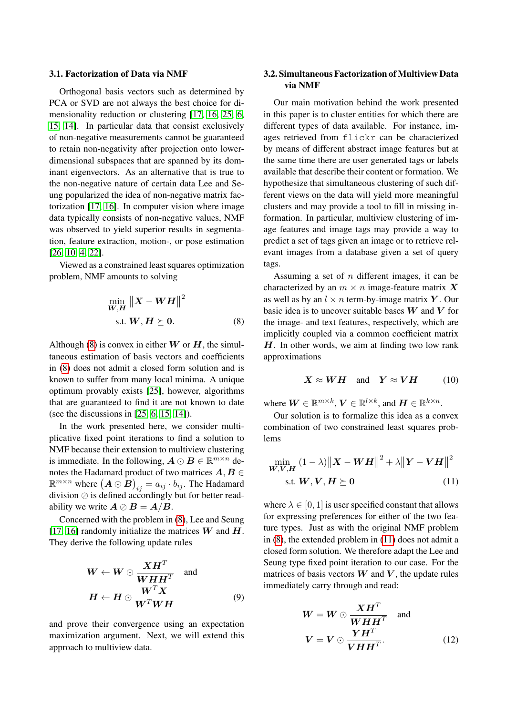#### 3.1. Factorization of Data via NMF

Orthogonal basis vectors such as determined by PCA or SVD are not always the best choice for dimensionality reduction or clustering [17, 16, 25, 6, 15, 14]. In particular data that consist exclusively of non-negative measurements cannot be guaranteed to retain non-negativity after projection onto lowerdimensional subspaces that are spanned by its dominant eigenvectors. As an alternative that is true to the non-negative nature of certain data Lee and Seung popularized the idea of non-negative matrix factorization [17, 16]. In computer vision where image data typically consists of non-negative values, NMF was observed to yield superior results in segmentation, feature extraction, motion-, or pose estimation [26, 10, 4, 22].

Viewed as a constrained least squares optimization problem, NMF amounts to solving

$$
\min_{\mathbf{W}, \mathbf{H}} \left\| \mathbf{X} - \mathbf{W} \mathbf{H} \right\|^2
$$
\ns.t.

\n
$$
\mathbf{W}, \mathbf{H} \succeq \mathbf{0}.\tag{8}
$$

Although (8) is convex in either  $W$  or  $H$ , the simultaneous estimation of basis vectors and coefficients in (8) does not admit a closed form solution and is known to suffer from many local minima. A unique optimum provably exists [25], however, algorithms that are guaranteed to find it are not known to date (see the discussions in [25, 6, 15, 14]).

In the work presented here, we consider multiplicative fixed point iterations to find a solution to NMF because their extension to multiview clustering is immediate. In the following,  $\mathbf{A} \odot \mathbf{B} \in \mathbb{R}^{m \times n}$  denotes the Hadamard product of two matrices  $A, B \in$  $\mathbb{R}^{m \times n}$  where  $\big(\boldsymbol A \odot \boldsymbol{\bar B}\big)_{ij} = a_{ij} \cdot b_{ij}.$  The Hadamard division  $\oslash$  is defined accordingly but for better readability we write  $A \oslash B = A/B$ .

Concerned with the problem in (8), Lee and Seung [17, 16] randomly initialize the matrices  $W$  and  $H$ . They derive the following update rules

$$
W \leftarrow W \odot \frac{XH^{T}}{WHH^{T}} \text{ and}
$$

$$
H \leftarrow H \odot \frac{W^{T}X}{W^{T}WH}
$$
(9)

and prove their convergence using an expectation maximization argument. Next, we will extend this approach to multiview data.

## 3.2. Simultaneous Factorization of Multiview Data via NMF

Our main motivation behind the work presented in this paper is to cluster entities for which there are different types of data available. For instance, images retrieved from flickr can be characterized by means of different abstract image features but at the same time there are user generated tags or labels available that describe their content or formation. We hypothesize that simultaneous clustering of such different views on the data will yield more meaningful clusters and may provide a tool to fill in missing information. In particular, multiview clustering of image features and image tags may provide a way to predict a set of tags given an image or to retrieve relevant images from a database given a set of query tags.

Assuming a set of n different images, it can be characterized by an  $m \times n$  image-feature matrix X as well as by an  $l \times n$  term-by-image matrix Y. Our basic idea is to uncover suitable bases  $W$  and  $V$  for the image- and text features, respectively, which are implicitly coupled via a common coefficient matrix  $H$ . In other words, we aim at finding two low rank approximations

$$
X \approx WH \quad \text{and} \quad Y \approx VH \tag{10}
$$

where  $\boldsymbol{W} \in \mathbb{R}^{m \times k}$ ,  $\boldsymbol{V} \in \mathbb{R}^{l \times k}$ , and  $\boldsymbol{H} \in \mathbb{R}^{k \times n}$ .

Our solution is to formalize this idea as a convex combination of two constrained least squares problems

$$
\min_{\boldsymbol{W}, \boldsymbol{V}, \boldsymbol{H}} (1 - \lambda) \|\boldsymbol{X} - \boldsymbol{W}\boldsymbol{H}\|^2 + \lambda \|\boldsymbol{Y} - \boldsymbol{V}\boldsymbol{H}\|^2
$$
  
s.t.  $\boldsymbol{W}, \boldsymbol{V}, \boldsymbol{H} \succeq \boldsymbol{0}$  (11)

where  $\lambda \in [0, 1]$  is user specified constant that allows for expressing preferences for either of the two feature types. Just as with the original NMF problem in (8), the extended problem in (11) does not admit a closed form solution. We therefore adapt the Lee and Seung type fixed point iteration to our case. For the matrices of basis vectors  $W$  and  $V$ , the update rules immediately carry through and read:

$$
W = W \odot \frac{XH^{T}}{WHH^{T}} \text{ and}
$$

$$
V = V \odot \frac{YH^{T}}{VHH^{T}}.
$$
 (12)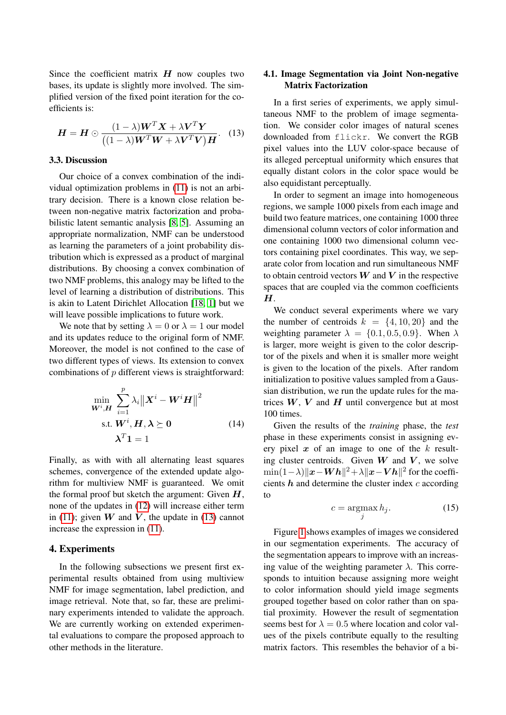Since the coefficient matrix  $H$  now couples two bases, its update is slightly more involved. The simplified version of the fixed point iteration for the coefficients is:

$$
\boldsymbol{H} = \boldsymbol{H} \odot \frac{(1-\lambda)\boldsymbol{W}^T\boldsymbol{X} + \lambda\boldsymbol{V}^T\boldsymbol{Y}}{((1-\lambda)\boldsymbol{W}^T\boldsymbol{W} + \lambda\boldsymbol{V}^T\boldsymbol{V})\boldsymbol{H}}.
$$
 (13)

#### 3.3. Discussion

Our choice of a convex combination of the individual optimization problems in (11) is not an arbitrary decision. There is a known close relation between non-negative matrix factorization and probabilistic latent semantic analysis [8, 5]. Assuming an appropriate normalization, NMF can be understood as learning the parameters of a joint probability distribution which is expressed as a product of marginal distributions. By choosing a convex combination of two NMF problems, this analogy may be lifted to the level of learning a distribution of distributions. This is akin to Latent Dirichlet Allocation [18, 1] but we will leave possible implications to future work.

We note that by setting  $\lambda = 0$  or  $\lambda = 1$  our model and its updates reduce to the original form of NMF. Moreover, the model is not confined to the case of two different types of views. Its extension to convex combinations of  $p$  different views is straightforward:

$$
\min_{\mathbf{W}^{i}, \mathbf{H}} \sum_{i=1}^{p} \lambda_{i} \| \mathbf{X}^{i} - \mathbf{W}^{i} \mathbf{H} \|^{2}
$$
\n
$$
\text{s.t. } \mathbf{W}^{i}, \mathbf{H}, \boldsymbol{\lambda} \succeq \mathbf{0} \tag{14}
$$
\n
$$
\boldsymbol{\lambda}^{T} \mathbf{1} = 1
$$

Finally, as with with all alternating least squares schemes, convergence of the extended update algorithm for multiview NMF is guaranteed. We omit the formal proof but sketch the argument: Given  $H$ , none of the updates in (12) will increase either term in (11); given W and V, the update in (13) cannot increase the expression in (11).

#### 4. Experiments

In the following subsections we present first experimental results obtained from using multiview NMF for image segmentation, label prediction, and image retrieval. Note that, so far, these are preliminary experiments intended to validate the approach. We are currently working on extended experimental evaluations to compare the proposed approach to other methods in the literature.

## 4.1. Image Segmentation via Joint Non-negative Matrix Factorization

In a first series of experiments, we apply simultaneous NMF to the problem of image segmentation. We consider color images of natural scenes downloaded from flickr. We convert the RGB pixel values into the LUV color-space because of its alleged perceptual uniformity which ensures that equally distant colors in the color space would be also equidistant perceptually.

In order to segment an image into homogeneous regions, we sample 1000 pixels from each image and build two feature matrices, one containing 1000 three dimensional column vectors of color information and one containing 1000 two dimensional column vectors containing pixel coordinates. This way, we separate color from location and run simultaneous NMF to obtain centroid vectors  $W$  and  $V$  in the respective spaces that are coupled via the common coefficients  $H<sub>1</sub>$ 

We conduct several experiments where we vary the number of centroids  $k = \{4, 10, 20\}$  and the weighting parameter  $\lambda = \{0.1, 0.5, 0.9\}$ . When  $\lambda$ is larger, more weight is given to the color descriptor of the pixels and when it is smaller more weight is given to the location of the pixels. After random initialization to positive values sampled from a Gaussian distribution, we run the update rules for the matrices  $W, V$  and  $H$  until convergence but at most 100 times.

Given the results of the *training* phase, the *test* phase in these experiments consist in assigning every pixel  $x$  of an image to one of the  $k$  resulting cluster centroids. Given  $W$  and  $V$ , we solve  $\min(1-\lambda) \|\boldsymbol{x}-\boldsymbol{W}\boldsymbol{h}\|^2 + \lambda \|\boldsymbol{x}-\boldsymbol{V}\boldsymbol{h}\|^2$  for the coefficients  $h$  and determine the cluster index  $c$  according to

$$
c = \underset{j}{\operatorname{argmax}} h_j. \tag{15}
$$

Figure 1 shows examples of images we considered in our segmentation experiments. The accuracy of the segmentation appears to improve with an increasing value of the weighting parameter  $\lambda$ . This corresponds to intuition because assigning more weight to color information should yield image segments grouped together based on color rather than on spatial proximity. However the result of segmentation seems best for  $\lambda = 0.5$  where location and color values of the pixels contribute equally to the resulting matrix factors. This resembles the behavior of a bi-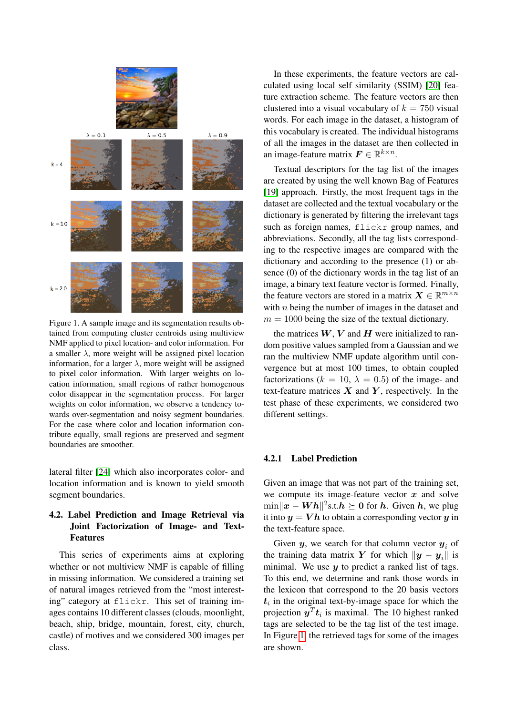

Figure 1. A sample image and its segmentation results obtained from computing cluster centroids using multiview NMF applied to pixel location- and color information. For a smaller  $\lambda$ , more weight will be assigned pixel location information, for a larger  $\lambda$ , more weight will be assigned to pixel color information. With larger weights on location information, small regions of rather homogenous color disappear in the segmentation process. For larger weights on color information, we observe a tendency towards over-segmentation and noisy segment boundaries. For the case where color and location information contribute equally, small regions are preserved and segment boundaries are smoother.

lateral filter [24] which also incorporates color- and location information and is known to yield smooth segment boundaries.

## 4.2. Label Prediction and Image Retrieval via Joint Factorization of Image- and Text-Features

This series of experiments aims at exploring whether or not multiview NMF is capable of filling in missing information. We considered a training set of natural images retrieved from the "most interesting" category at flickr. This set of training images contains 10 different classes (clouds, moonlight, beach, ship, bridge, mountain, forest, city, church, castle) of motives and we considered 300 images per class.

In these experiments, the feature vectors are calculated using local self similarity (SSIM) [20] feature extraction scheme. The feature vectors are then clustered into a visual vocabulary of  $k = 750$  visual words. For each image in the dataset, a histogram of this vocabulary is created. The individual histograms of all the images in the dataset are then collected in an image-feature matrix  $\boldsymbol{F} \in \mathbb{R}^{k \times n}$ .

Textual descriptors for the tag list of the images are created by using the well known Bag of Features [19] approach. Firstly, the most frequent tags in the dataset are collected and the textual vocabulary or the dictionary is generated by filtering the irrelevant tags such as foreign names, flickr group names, and abbreviations. Secondly, all the tag lists corresponding to the respective images are compared with the dictionary and according to the presence (1) or absence (0) of the dictionary words in the tag list of an image, a binary text feature vector is formed. Finally, the feature vectors are stored in a matrix  $\boldsymbol{X} \in \mathbb{R}^{m \times n}$ with  $n$  being the number of images in the dataset and  $m = 1000$  being the size of the textual dictionary.

the matrices  $W, V$  and  $H$  were initialized to random positive values sampled from a Gaussian and we ran the multiview NMF update algorithm until convergence but at most 100 times, to obtain coupled factorizations ( $k = 10$ ,  $\lambda = 0.5$ ) of the image- and text-feature matrices  $X$  and  $Y$ , respectively. In the test phase of these experiments, we considered two different settings.

#### 4.2.1 Label Prediction

Given an image that was not part of the training set, we compute its image-feature vector  $x$  and solve  $\min ||x - Wh||^2$ s.t. $h \succeq 0$  for  $h$ . Given  $h$ , we plug it into  $y = Vh$  to obtain a corresponding vector y in the text-feature space.

Given y, we search for that column vector  $y_i$  of the training data matrix Y for which  $\|\boldsymbol{y} - \boldsymbol{y}_i\|$  is minimal. We use  $y$  to predict a ranked list of tags. To this end, we determine and rank those words in the lexicon that correspond to the 20 basis vectors  $t_i$  in the original text-by-image space for which the projection  $y^T t_i$  is maximal. The 10 highest ranked tags are selected to be the tag list of the test image. In Figure 1, the retrieved tags for some of the images are shown.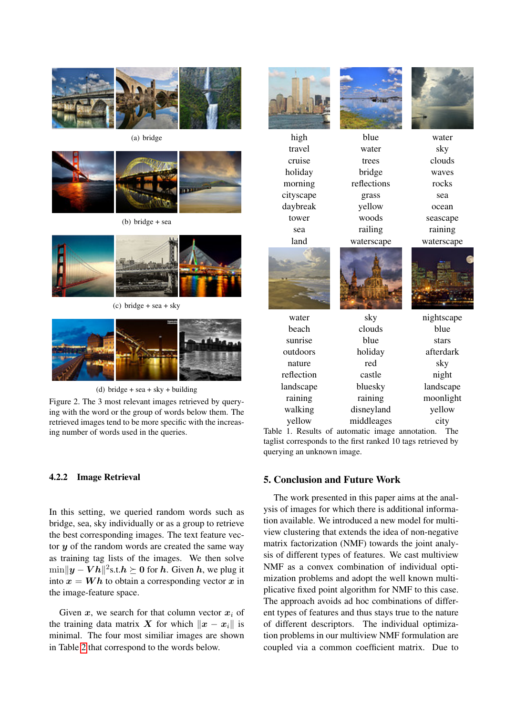

(a) bridge



(b) bridge + sea



(c) bridge + sea + sky



(d) bridge + sea + sky + building

Figure 2. The 3 most relevant images retrieved by querying with the word or the group of words below them. The retrieved images tend to be more specific with the increasing number of words used in the queries.

#### 4.2.2 Image Retrieval

In this setting, we queried random words such as bridge, sea, sky individually or as a group to retrieve the best corresponding images. The text feature vector  $y$  of the random words are created the same way as training tag lists of the images. We then solve  $\min \|y - Vh\|^2$ s.t. $h \succeq 0$  for  $h$ . Given  $h$ , we plug it into  $x = Wh$  to obtain a corresponding vector x in the image-feature space.

Given  $x$ , we search for that column vector  $x_i$  of the training data matrix X for which  $\|x - x_i\|$  is minimal. The four most similiar images are shown in Table 2 that correspond to the words below.



travel water sky cruise trees clouds holiday bridge waves morning reflections rocks cityscape grass sea daybreak yellow ocean tower woods seascape sea railing raining land waterscape waterscape



high blue water







| water      | sky        | nightscape |
|------------|------------|------------|
| beach      | clouds     | blue       |
| sunrise    | blue       | stars      |
| outdoors   | holiday    | afterdark  |
| nature     | red        | sky        |
| reflection | castle     | night      |
| landscape  | bluesky    | landscape  |
| raining    | raining    | moonlight  |
| walking    | disneyland | yellow     |
| yellow     | middleages | city       |

Table 1. Results of automatic image annotation. The taglist corresponds to the first ranked 10 tags retrieved by querying an unknown image.

#### 5. Conclusion and Future Work

The work presented in this paper aims at the analysis of images for which there is additional information available. We introduced a new model for multiview clustering that extends the idea of non-negative matrix factorization (NMF) towards the joint analysis of different types of features. We cast multiview NMF as a convex combination of individual optimization problems and adopt the well known multiplicative fixed point algorithm for NMF to this case. The approach avoids ad hoc combinations of different types of features and thus stays true to the nature of different descriptors. The individual optimization problems in our multiview NMF formulation are coupled via a common coefficient matrix. Due to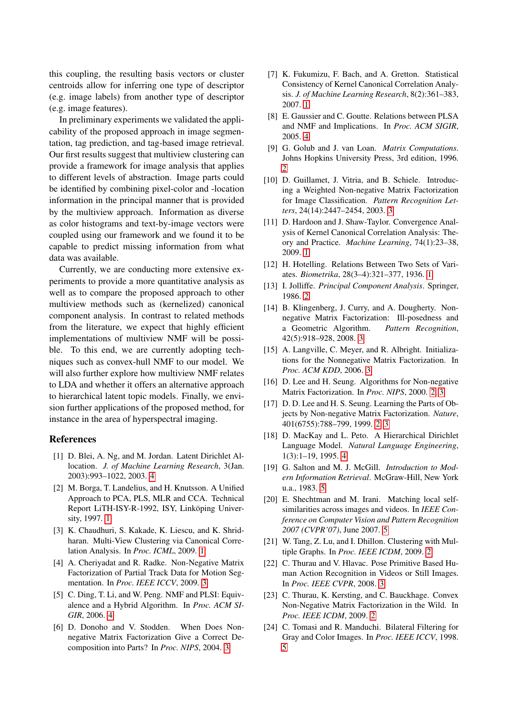this coupling, the resulting basis vectors or cluster centroids allow for inferring one type of descriptor (e.g. image labels) from another type of descriptor (e.g. image features).

In preliminary experiments we validated the applicability of the proposed approach in image segmentation, tag prediction, and tag-based image retrieval. Our first results suggest that multiview clustering can provide a framework for image analysis that applies to different levels of abstraction. Image parts could be identified by combining pixel-color and -location information in the principal manner that is provided by the multiview approach. Information as diverse as color histograms and text-by-image vectors were coupled using our framework and we found it to be capable to predict missing information from what data was available.

Currently, we are conducting more extensive experiments to provide a more quantitative analysis as well as to compare the proposed approach to other multiview methods such as (kernelized) canonical component analysis. In contrast to related methods from the literature, we expect that highly efficient implementations of multiview NMF will be possible. To this end, we are currently adopting techniques such as convex-hull NMF to our model. We will also further explore how multiview NMF relates to LDA and whether it offers an alternative approach to hierarchical latent topic models. Finally, we envision further applications of the proposed method, for instance in the area of hyperspectral imaging.

#### References

- [1] D. Blei, A. Ng, and M. Jordan. Latent Dirichlet Allocation. *J. of Machine Learning Research*, 3(Jan. 2003):993–1022, 2003. 4
- [2] M. Borga, T. Landelius, and H. Knutsson. A Unified Approach to PCA, PLS, MLR and CCA. Technical Report LiTH-ISY-R-1992, ISY, Linköping University, 1997. [1](#page-0-0)
- [3] K. Chaudhuri, S. Kakade, K. Liescu, and K. Shridharan. Multi-View Clustering via Canonical Correlation Analysis. In *Proc. ICML*, 2009. [1](#page-0-0)
- [4] A. Cheriyadat and R. Radke. Non-Negative Matrix Factorization of Partial Track Data for Motion Segmentation. In *Proc. IEEE ICCV*, 2009. 3
- [5] C. Ding, T. Li, and W. Peng. NMF and PLSI: Equivalence and a Hybrid Algorithm. In *Proc. ACM SI-GIR*, 2006. 4
- [6] D. Donoho and V. Stodden. When Does Nonnegative Matrix Factorization Give a Correct Decomposition into Parts? In *Proc. NIPS*, 2004. 3
- [7] K. Fukumizu, F. Bach, and A. Gretton. Statistical Consistency of Kernel Canonical Correlation Analysis. *J. of Machine Learning Research*, 8(2):361–383, 2007. [1](#page-0-0)
- [8] E. Gaussier and C. Goutte. Relations between PLSA and NMF and Implications. In *Proc. ACM SIGIR*, 2005. 4
- [9] G. Golub and J. van Loan. *Matrix Computations*. Johns Hopkins University Press, 3rd edition, 1996.  $\mathcal{D}_{\mathcal{L}}$
- [10] D. Guillamet, J. Vitria, and B. Schiele. Introducing a Weighted Non-negative Matrix Factorization for Image Classification. *Pattern Recognition Letters*, 24(14):2447–2454, 2003. 3
- [11] D. Hardoon and J. Shaw-Taylor. Convergence Analysis of Kernel Canonical Correlation Analysis: Theory and Practice. *Machine Learning*, 74(1):23–38, 2009. [1](#page-0-0)
- [12] H. Hotelling. Relations Between Two Sets of Variates. *Biometrika*, 28(3–4):321–377, 1936. [1](#page-0-0)
- [13] I. Jolliffe. *Principal Component Analysis*. Springer, 1986. 2
- [14] B. Klingenberg, J. Curry, and A. Dougherty. Nonnegative Matrix Factorization: Ill-posedness and a Geometric Algorithm. *Pattern Recognition*, 42(5):918–928, 2008. 3
- [15] A. Langville, C. Meyer, and R. Albright. Initializations for the Nonnegative Matrix Factorization. In *Proc. ACM KDD*, 2006. 3
- [16] D. Lee and H. Seung. Algorithms for Non-negative Matrix Factorization. In *Proc. NIPS*, 2000. 2, 3
- [17] D. D. Lee and H. S. Seung. Learning the Parts of Objects by Non-negative Matrix Factorization. *Nature*, 401(6755):788–799, 1999. 2, 3
- [18] D. MacKay and L. Peto. A Hierarchical Dirichlet Language Model. *Natural Language Engineering*, 1(3):1–19, 1995. 4
- [19] G. Salton and M. J. McGill. *Introduction to Modern Information Retrieval*. McGraw-Hill, New York u.a., 1983. 5
- [20] E. Shechtman and M. Irani. Matching local selfsimilarities across images and videos. In *IEEE Conference on Computer Vision and Pattern Recognition 2007 (CVPR'07)*, June 2007. 5
- [21] W. Tang, Z. Lu, and I. Dhillon. Clustering with Multiple Graphs. In *Proc. IEEE ICDM*, 2009. 2
- [22] C. Thurau and V. Hlavac. Pose Primitive Based Human Action Recognition in Videos or Still Images. In *Proc. IEEE CVPR*, 2008. 3
- [23] C. Thurau, K. Kersting, and C. Bauckhage. Convex Non-Negative Matrix Factorization in the Wild. In *Proc. IEEE ICDM*, 2009. 2
- [24] C. Tomasi and R. Manduchi. Bilateral Filtering for Gray and Color Images. In *Proc. IEEE ICCV*, 1998. 5